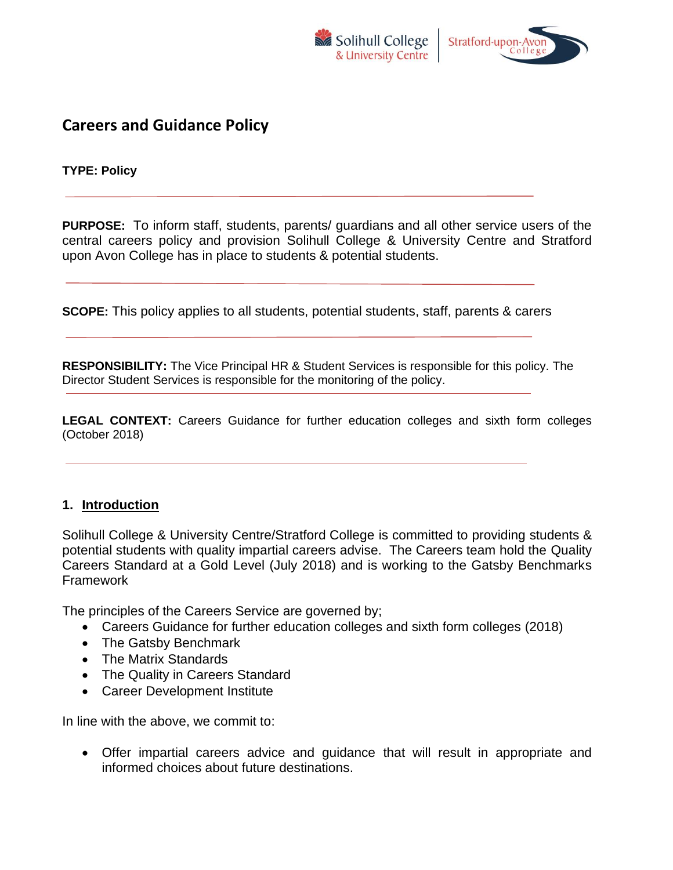



# **Careers and Guidance Policy**

**TYPE: Policy**

**PURPOSE:** To inform staff, students, parents/ guardians and all other service users of the central careers policy and provision Solihull College & University Centre and Stratford upon Avon College has in place to students & potential students.

**SCOPE:** This policy applies to all students, potential students, staff, parents & carers

**RESPONSIBILITY:** The Vice Principal HR & Student Services is responsible for this policy. The Director Student Services is responsible for the monitoring of the policy.

**LEGAL CONTEXT:** Careers Guidance for further education colleges and sixth form colleges (October 2018)

#### **1. Introduction**

Solihull College & University Centre/Stratford College is committed to providing students & potential students with quality impartial careers advise. The Careers team hold the Quality Careers Standard at a Gold Level (July 2018) and is working to the Gatsby Benchmarks Framework

The principles of the Careers Service are governed by;

- Careers Guidance for further education colleges and sixth form colleges (2018)
- The Gatsby Benchmark
- The Matrix Standards
- The Quality in Careers Standard
- Career Development Institute

In line with the above, we commit to:

• Offer impartial careers advice and guidance that will result in appropriate and informed choices about future destinations.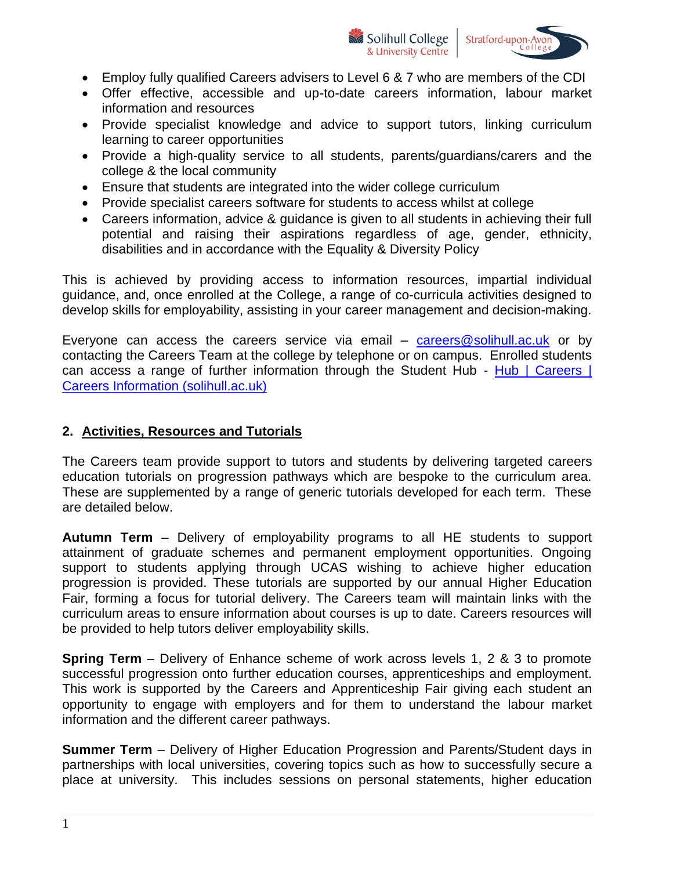



- Employ fully qualified Careers advisers to Level 6 & 7 who are members of the CDI
- Offer effective, accessible and up-to-date careers information, labour market information and resources
- Provide specialist knowledge and advice to support tutors, linking curriculum learning to career opportunities
- Provide a high-quality service to all students, parents/guardians/carers and the college & the local community
- Ensure that students are integrated into the wider college curriculum
- Provide specialist careers software for students to access whilst at college
- Careers information, advice & guidance is given to all students in achieving their full potential and raising their aspirations regardless of age, gender, ethnicity, disabilities and in accordance with the Equality & Diversity Policy

This is achieved by providing access to information resources, impartial individual guidance, and, once enrolled at the College, a range of co-curricula activities designed to develop skills for employability, assisting in your career management and decision-making.

Everyone can access the careers service via email – [careers@solihull.ac.uk](mailto:careers@solihull.ac.uk) or by contacting the Careers Team at the college by telephone or on campus. Enrolled students can access a range of further information through the Student Hub - Hub | Careers | [Careers Information \(solihull.ac.uk\)](https://hub.solihull.ac.uk/student/careers/careers-information)

## **2. Activities, Resources and Tutorials**

The Careers team provide support to tutors and students by delivering targeted careers education tutorials on progression pathways which are bespoke to the curriculum area. These are supplemented by a range of generic tutorials developed for each term. These are detailed below.

**Autumn Term** – Delivery of employability programs to all HE students to support attainment of graduate schemes and permanent employment opportunities. Ongoing support to students applying through UCAS wishing to achieve higher education progression is provided. These tutorials are supported by our annual Higher Education Fair, forming a focus for tutorial delivery. The Careers team will maintain links with the curriculum areas to ensure information about courses is up to date. Careers resources will be provided to help tutors deliver employability skills.

**Spring Term** – Delivery of Enhance scheme of work across levels 1, 2 & 3 to promote successful progression onto further education courses, apprenticeships and employment. This work is supported by the Careers and Apprenticeship Fair giving each student an opportunity to engage with employers and for them to understand the labour market information and the different career pathways.

**Summer Term** – Delivery of Higher Education Progression and Parents/Student days in partnerships with local universities, covering topics such as how to successfully secure a place at university. This includes sessions on personal statements, higher education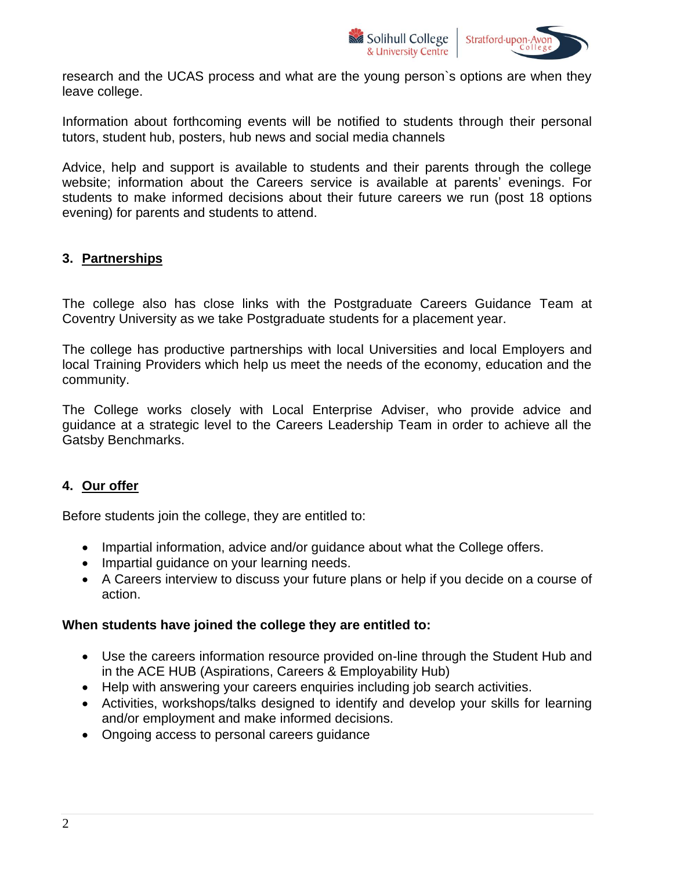

research and the UCAS process and what are the young person`s options are when they leave college.

Information about forthcoming events will be notified to students through their personal tutors, student hub, posters, hub news and social media channels

Advice, help and support is available to students and their parents through the college website; information about the Careers service is available at parents' evenings. For students to make informed decisions about their future careers we run (post 18 options evening) for parents and students to attend.

### **3. Partnerships**

The college also has close links with the Postgraduate Careers Guidance Team at Coventry University as we take Postgraduate students for a placement year.

The college has productive partnerships with local Universities and local Employers and local Training Providers which help us meet the needs of the economy, education and the community.

The College works closely with Local Enterprise Adviser, who provide advice and guidance at a strategic level to the Careers Leadership Team in order to achieve all the Gatsby Benchmarks.

#### **4. Our offer**

Before students join the college, they are entitled to:

- Impartial information, advice and/or guidance about what the College offers.
- Impartial guidance on your learning needs.
- A Careers interview to discuss your future plans or help if you decide on a course of action.

#### **When students have joined the college they are entitled to:**

- Use the careers information resource provided on-line through the Student Hub and in the ACE HUB (Aspirations, Careers & Employability Hub)
- Help with answering your careers enquiries including job search activities.
- Activities, workshops/talks designed to identify and develop your skills for learning and/or employment and make informed decisions.
- Ongoing access to personal careers guidance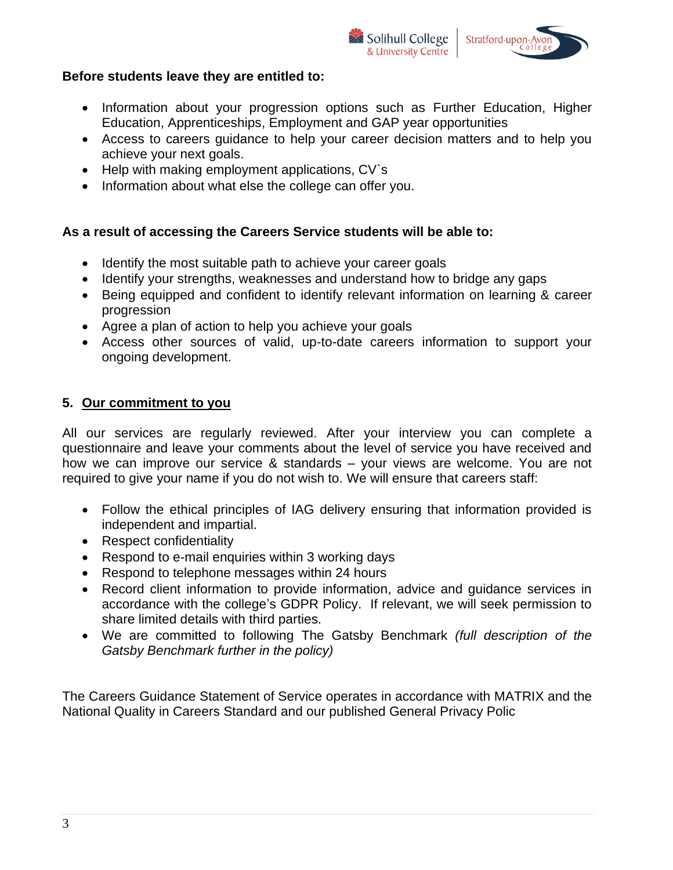#### **Before students leave they are entitled to:**

• Information about your progression options such as Further Education, Higher Education, Apprenticeships, Employment and GAP year opportunities

Solihull College

& University Centre

Stratford-upon-Avo

- Access to careers guidance to help your career decision matters and to help you achieve your next goals.
- Help with making employment applications, CV's
- Information about what else the college can offer you.

#### **As a result of accessing the Careers Service students will be able to:**

- Identify the most suitable path to achieve your career goals
- Identify your strengths, weaknesses and understand how to bridge any gaps
- Being equipped and confident to identify relevant information on learning & career progression
- Agree a plan of action to help you achieve your goals
- Access other sources of valid, up-to-date careers information to support your ongoing development.

#### **5. Our commitment to you**

All our services are regularly reviewed. After your interview you can complete a questionnaire and leave your comments about the level of service you have received and how we can improve our service & standards – your views are welcome. You are not required to give your name if you do not wish to. We will ensure that careers staff:

- Follow the ethical principles of IAG delivery ensuring that information provided is independent and impartial.
- Respect confidentiality
- Respond to e-mail enquiries within 3 working days
- Respond to telephone messages within 24 hours
- Record client information to provide information, advice and guidance services in accordance with the college's GDPR Policy. If relevant, we will seek permission to share limited details with third parties.
- We are committed to following The Gatsby Benchmark *(full description of the Gatsby Benchmark further in the policy)*

The Careers Guidance Statement of Service operates in accordance with MATRIX and the National Quality in Careers Standard and our published General Privacy Polic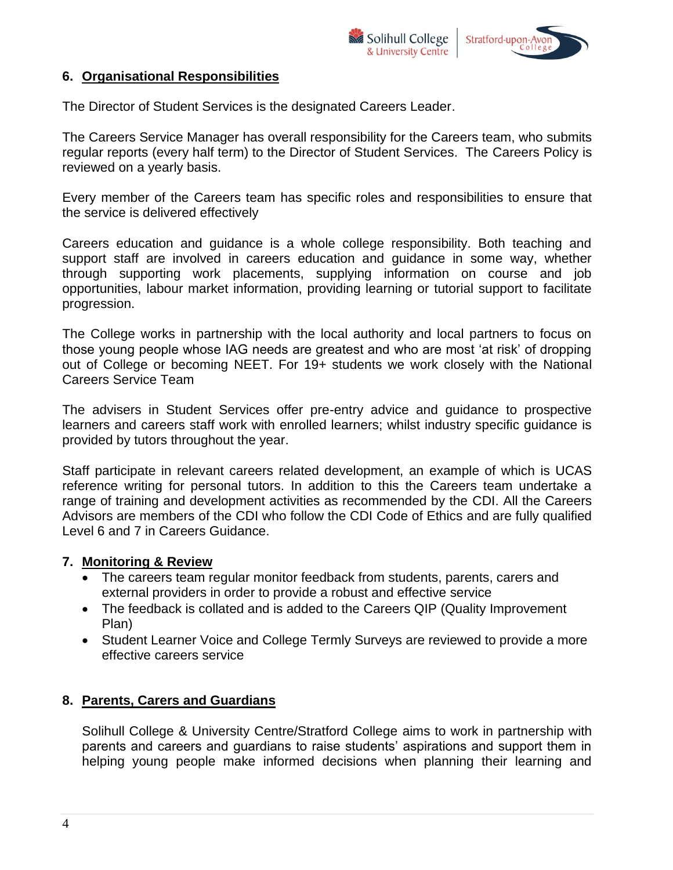

### **6. Organisational Responsibilities**

The Director of Student Services is the designated Careers Leader.

The Careers Service Manager has overall responsibility for the Careers team, who submits regular reports (every half term) to the Director of Student Services. The Careers Policy is reviewed on a yearly basis.

Every member of the Careers team has specific roles and responsibilities to ensure that the service is delivered effectively

Careers education and guidance is a whole college responsibility. Both teaching and support staff are involved in careers education and guidance in some way, whether through supporting work placements, supplying information on course and job opportunities, labour market information, providing learning or tutorial support to facilitate progression.

The College works in partnership with the local authority and local partners to focus on those young people whose IAG needs are greatest and who are most 'at risk' of dropping out of College or becoming NEET. For 19+ students we work closely with the National Careers Service Team

The advisers in Student Services offer pre-entry advice and guidance to prospective learners and careers staff work with enrolled learners; whilst industry specific guidance is provided by tutors throughout the year.

Staff participate in relevant careers related development, an example of which is UCAS reference writing for personal tutors. In addition to this the Careers team undertake a range of training and development activities as recommended by the CDI. All the Careers Advisors are members of the CDI who follow the CDI Code of Ethics and are fully qualified Level 6 and 7 in Careers Guidance.

#### **7. Monitoring & Review**

- The careers team regular monitor feedback from students, parents, carers and external providers in order to provide a robust and effective service
- The feedback is collated and is added to the Careers QIP (Quality Improvement Plan)
- Student Learner Voice and College Termly Surveys are reviewed to provide a more effective careers service

## **8. Parents, Carers and Guardians**

Solihull College & University Centre/Stratford College aims to work in partnership with parents and careers and guardians to raise students' aspirations and support them in helping young people make informed decisions when planning their learning and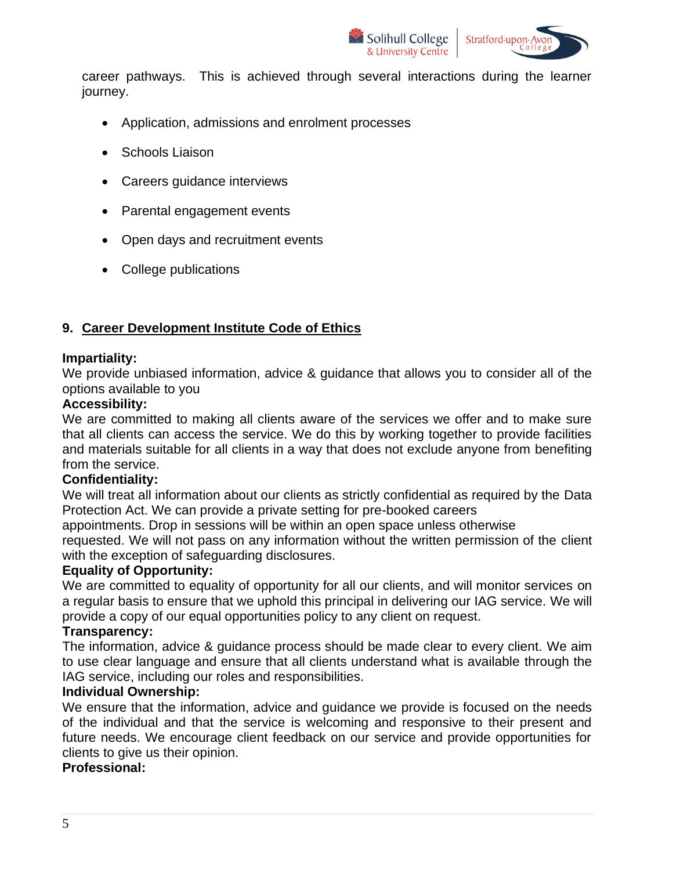

career pathways. This is achieved through several interactions during the learner journey.

- Application, admissions and enrolment processes
- Schools Liaison
- Careers guidance interviews
- Parental engagement events
- Open days and recruitment events
- College publications

## **9. Career Development Institute Code of Ethics**

#### **Impartiality:**

We provide unbiased information, advice & guidance that allows you to consider all of the options available to you

#### **Accessibility:**

We are committed to making all clients aware of the services we offer and to make sure that all clients can access the service. We do this by working together to provide facilities and materials suitable for all clients in a way that does not exclude anyone from benefiting from the service.

#### **Confidentiality:**

We will treat all information about our clients as strictly confidential as required by the Data Protection Act. We can provide a private setting for pre-booked careers

appointments. Drop in sessions will be within an open space unless otherwise

requested. We will not pass on any information without the written permission of the client with the exception of safeguarding disclosures.

#### **Equality of Opportunity:**

We are committed to equality of opportunity for all our clients, and will monitor services on a regular basis to ensure that we uphold this principal in delivering our IAG service. We will provide a copy of our equal opportunities policy to any client on request.

#### **Transparency:**

The information, advice & guidance process should be made clear to every client. We aim to use clear language and ensure that all clients understand what is available through the IAG service, including our roles and responsibilities.

#### **Individual Ownership:**

We ensure that the information, advice and guidance we provide is focused on the needs of the individual and that the service is welcoming and responsive to their present and future needs. We encourage client feedback on our service and provide opportunities for clients to give us their opinion.

#### **Professional:**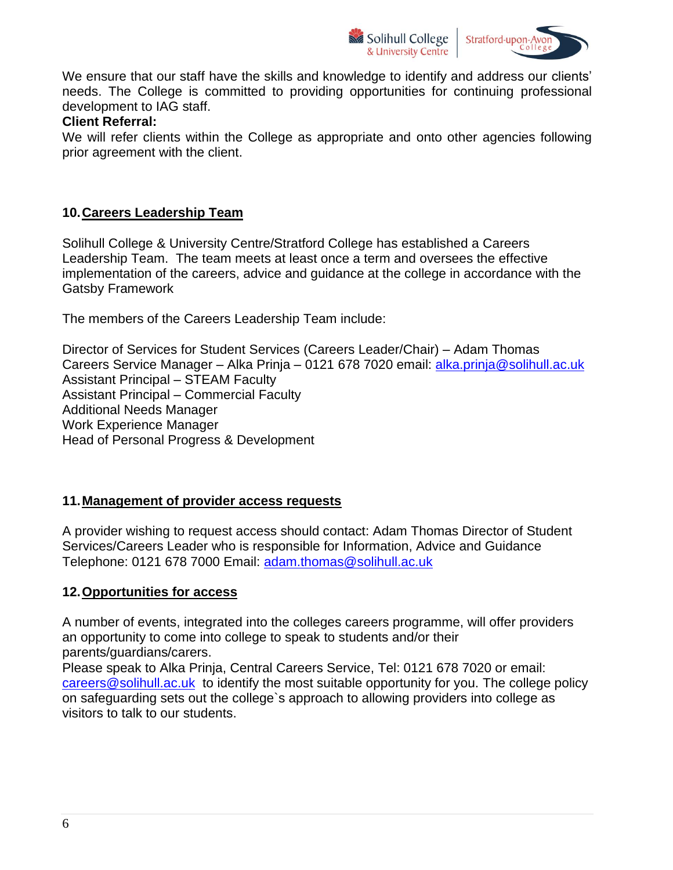



We ensure that our staff have the skills and knowledge to identify and address our clients' needs. The College is committed to providing opportunities for continuing professional development to IAG staff.

#### **Client Referral:**

We will refer clients within the College as appropriate and onto other agencies following prior agreement with the client.

## **10.Careers Leadership Team**

Solihull College & University Centre/Stratford College has established a Careers Leadership Team. The team meets at least once a term and oversees the effective implementation of the careers, advice and guidance at the college in accordance with the Gatsby Framework

The members of the Careers Leadership Team include:

Director of Services for Student Services (Careers Leader/Chair) – Adam Thomas Careers Service Manager – Alka Prinja – 0121 678 7020 email: [alka.prinja@solihull.ac.uk](mailto:alka.prinja@solihull.ac.uk) Assistant Principal – STEAM Faculty Assistant Principal – Commercial Faculty Additional Needs Manager Work Experience Manager Head of Personal Progress & Development

#### **11.Management of provider access requests**

A provider wishing to request access should contact: Adam Thomas Director of Student Services/Careers Leader who is responsible for Information, Advice and Guidance Telephone: 0121 678 7000 Email: [adam.thomas@solihull.ac.uk](mailto:adam.thomas@solihull.ac.uk)

#### **12.Opportunities for access**

A number of events, integrated into the colleges careers programme, will offer providers an opportunity to come into college to speak to students and/or their parents/guardians/carers.

Please speak to Alka Prinja, Central Careers Service, Tel: 0121 678 7020 or email: [careers@solihull.ac.uk](mailto:careers@solihull.ac.uk) to identify the most suitable opportunity for you. The college policy on safeguarding sets out the college`s approach to allowing providers into college as visitors to talk to our students.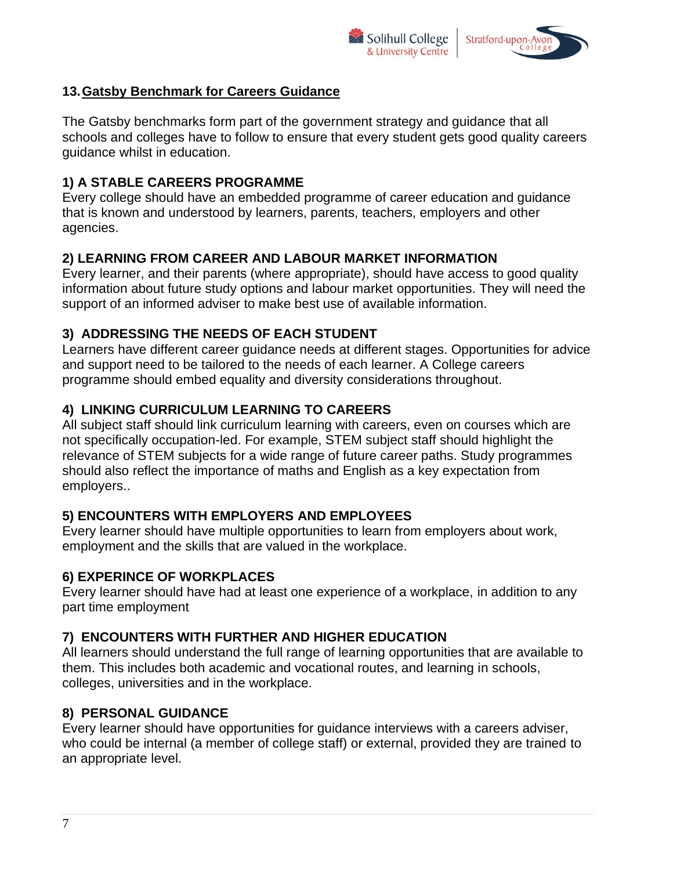



## **13.Gatsby Benchmark for Careers Guidance**

The Gatsby benchmarks form part of the government strategy and guidance that all schools and colleges have to follow to ensure that every student gets good quality careers guidance whilst in education.

## **1) A STABLE CAREERS PROGRAMME**

Every college should have an embedded programme of career education and guidance that is known and understood by learners, parents, teachers, employers and other agencies.

## **2) LEARNING FROM CAREER AND LABOUR MARKET INFORMATION**

Every learner, and their parents (where appropriate), should have access to good quality information about future study options and labour market opportunities. They will need the support of an informed adviser to make best use of available information.

## **3) ADDRESSING THE NEEDS OF EACH STUDENT**

Learners have different career guidance needs at different stages. Opportunities for advice and support need to be tailored to the needs of each learner. A College careers programme should embed equality and diversity considerations throughout.

## **4) LINKING CURRICULUM LEARNING TO CAREERS**

All subject staff should link curriculum learning with careers, even on courses which are not specifically occupation-led. For example, STEM subject staff should highlight the relevance of STEM subjects for a wide range of future career paths. Study programmes should also reflect the importance of maths and English as a key expectation from employers..

## **5) ENCOUNTERS WITH EMPLOYERS AND EMPLOYEES**

Every learner should have multiple opportunities to learn from employers about work, employment and the skills that are valued in the workplace.

## **6) EXPERINCE OF WORKPLACES**

Every learner should have had at least one experience of a workplace, in addition to any part time employment

## **7) ENCOUNTERS WITH FURTHER AND HIGHER EDUCATION**

All learners should understand the full range of learning opportunities that are available to them. This includes both academic and vocational routes, and learning in schools, colleges, universities and in the workplace.

## **8) PERSONAL GUIDANCE**

Every learner should have opportunities for guidance interviews with a careers adviser, who could be internal (a member of college staff) or external, provided they are trained to an appropriate level.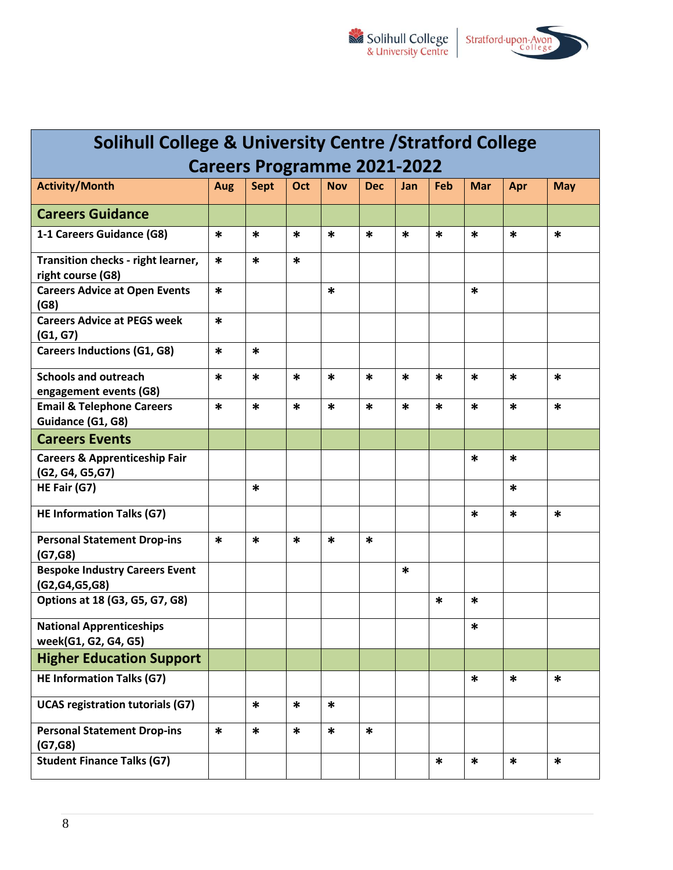

| <b>Solihull College &amp; University Centre / Stratford College</b> |        |             |        |            |            |        |        |            |        |            |
|---------------------------------------------------------------------|--------|-------------|--------|------------|------------|--------|--------|------------|--------|------------|
| <b>Careers Programme 2021-2022</b>                                  |        |             |        |            |            |        |        |            |        |            |
| <b>Activity/Month</b>                                               | Aug    | <b>Sept</b> | Oct    | <b>Nov</b> | <b>Dec</b> | Jan    | Feb    | <b>Mar</b> | Apr    | <b>May</b> |
| <b>Careers Guidance</b>                                             |        |             |        |            |            |        |        |            |        |            |
| 1-1 Careers Guidance (G8)                                           | $\ast$ | $\ast$      | *      | *          | $\ast$     | *      | $\ast$ | $\ast$     | $\ast$ | $\ast$     |
| Transition checks - right learner,<br>right course (G8)             | $\ast$ | *           | $\ast$ |            |            |        |        |            |        |            |
| <b>Careers Advice at Open Events</b><br>(G8)                        | $\ast$ |             |        | ∗          |            |        |        | *          |        |            |
| <b>Careers Advice at PEGS week</b><br>(G1, G7)                      | $\ast$ |             |        |            |            |        |        |            |        |            |
| <b>Careers Inductions (G1, G8)</b>                                  | $\ast$ | $\ast$      |        |            |            |        |        |            |        |            |
| <b>Schools and outreach</b><br>engagement events (G8)               | $\ast$ | $\ast$      | *      | *          | $\ast$     | *      | $\ast$ | $\ast$     | *      | $\ast$     |
| <b>Email &amp; Telephone Careers</b><br>Guidance (G1, G8)           | $\ast$ | $\ast$      | *      | *          | $\ast$     | $\ast$ | $\ast$ | $\ast$     | *      | *          |
| <b>Careers Events</b>                                               |        |             |        |            |            |        |        |            |        |            |
| <b>Careers &amp; Apprenticeship Fair</b><br>(G2, G4, G5, G7)        |        |             |        |            |            |        |        | $\ast$     | *      |            |
| HE Fair (G7)                                                        |        | $\ast$      |        |            |            |        |        |            | *      |            |
| <b>HE Information Talks (G7)</b>                                    |        |             |        |            |            |        |        | $\ast$     | *      | $\ast$     |
| <b>Personal Statement Drop-ins</b><br>(G7, G8)                      | $\ast$ | $\ast$      | $\ast$ | *          | ∗          |        |        |            |        |            |
| <b>Bespoke Industry Careers Event</b><br>(G2, G4, G5, G8)           |        |             |        |            |            | $\ast$ |        |            |        |            |
| Options at 18 (G3, G5, G7, G8)                                      |        |             |        |            |            |        | *      | $\ast$     |        |            |
| <b>National Apprenticeships</b><br>week(G1, G2, G4, G5)             |        |             |        |            |            |        |        | ∗          |        |            |
| <b>Higher Education Support</b>                                     |        |             |        |            |            |        |        |            |        |            |
| <b>HE Information Talks (G7)</b>                                    |        |             |        |            |            |        |        | $\ast$     | $\ast$ | *          |
| <b>UCAS registration tutorials (G7)</b>                             |        | $\ast$      | $\ast$ | $\ast$     |            |        |        |            |        |            |
| <b>Personal Statement Drop-ins</b><br>(G7, G8)                      | $\ast$ | $\ast$      | $\ast$ | $\ast$     | $\ast$     |        |        |            |        |            |
| <b>Student Finance Talks (G7)</b>                                   |        |             |        |            |            |        | *      | $\ast$     | ∗      | $\ast$     |